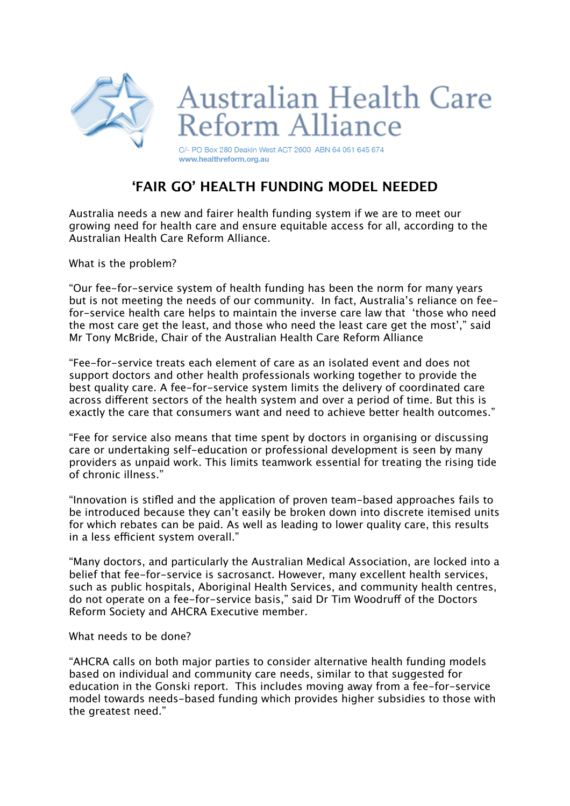

## **'FAIR GO' HEALTH FUNDING MODEL NEEDED**

Australia needs a new and fairer health funding system if we are to meet our growing need for health care and ensure equitable access for all, according to the Australian Health Care Reform Alliance.

What is the problem?

"Our fee-for-service system of health funding has been the norm for many years but is not meeting the needs of our community. In fact, Australia's reliance on feefor-service health care helps to maintain the inverse care law that 'those who need the most care get the least, and those who need the least care get the most'," said Mr Tony McBride, Chair of the Australian Health Care Reform Alliance

"Fee-for-service treats each element of care as an isolated event and does not support doctors and other health professionals working together to provide the best quality care. A fee-for-service system limits the delivery of coordinated care across diferent sectors of the health system and over a period of time. But this is exactly the care that consumers want and need to achieve better health outcomes."

"Fee for service also means that time spent by doctors in organising or discussing care or undertaking self-education or professional development is seen by many providers as unpaid work. This limits teamwork essential for treating the rising tide of chronic illness."

"Innovation is stifled and the application of proven team-based approaches fails to be introduced because they can't easily be broken down into discrete itemised units for which rebates can be paid. As well as leading to lower quality care, this results in a less efficient system overall."

"Many doctors, and particularly the Australian Medical Association, are locked into a belief that fee-for-service is sacrosanct. However, many excellent health services, such as public hospitals, Aboriginal Health Services, and community health centres, do not operate on a fee-for-service basis," said Dr Tim Woodruf of the Doctors Reform Society and AHCRA Executive member.

What needs to be done?

"AHCRA calls on both major parties to consider alternative health funding models based on individual and community care needs, similar to that suggested for education in the Gonski report. This includes moving away from a fee-for-service model towards needs-based funding which provides higher subsidies to those with the greatest need."